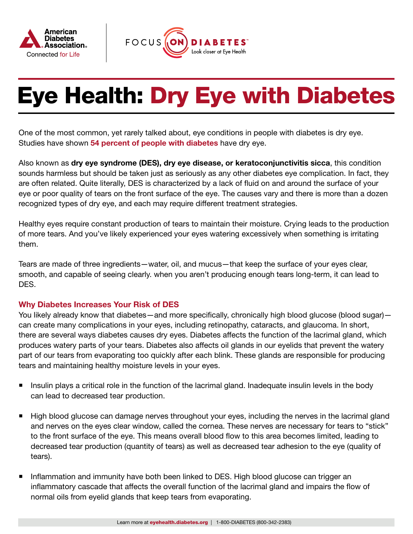



# Eye Health: Dry Eye with Diabetes

One of the most common, yet rarely talked about, eye conditions in people with diabetes is dry eye. Studies have shown [54 percent of people with diabetes](https://www.ncbi.nlm.nih.gov/pmc/articles/PMC4861815/) have dry eye.

Also known as dry eye syndrome (DES), dry eye disease, or keratoconjunctivitis sicca, this condition sounds harmless but should be taken just as seriously as any other diabetes eye complication. In fact, they are often related. Quite literally, DES is characterized by a lack of fluid on and around the surface of your eye or poor quality of tears on the front surface of the eye. The causes vary and there is more than a dozen recognized types of dry eye, and each may require different treatment strategies.

Healthy eyes require constant production of tears to maintain their moisture. Crying leads to the production of more tears. And you've likely experienced your eyes watering excessively when something is irritating them.

Tears are made of three ingredients—water, oil, and mucus—that keep the surface of your eyes clear, smooth, and capable of seeing clearly. when you aren't producing enough tears long-term, it can lead to DES.

#### Why Diabetes Increases Your Risk of DES

You likely already know that diabetes—and more specifically, chronically high blood glucose (blood sugar) can create many complications in your eyes, including retinopathy, cataracts, and glaucoma. In short, there are several ways diabetes causes dry eyes. Diabetes affects the function of the lacrimal gland, which produces watery parts of your tears. Diabetes also affects oil glands in our eyelids that prevent the watery part of our tears from evaporating too quickly after each blink. These glands are responsible for producing tears and maintaining healthy moisture levels in your eyes.

- Insulin plays a critical role in the function of the lacrimal gland. Inadequate insulin levels in the body can lead to decreased tear production.
- High blood glucose can damage nerves throughout your eyes, including the nerves in the lacrimal gland and nerves on the eyes clear window, called the cornea. These nerves are necessary for tears to "stick" to the front surface of the eye. This means overall blood flow to this area becomes limited, leading to decreased tear production (quantity of tears) as well as decreased tear adhesion to the eye (quality of tears).
- Inflammation and immunity have both been linked to DES. High blood glucose can trigger an inflammatory cascade that affects the overall function of the lacrimal gland and impairs the flow of normal oils from eyelid glands that keep tears from evaporating.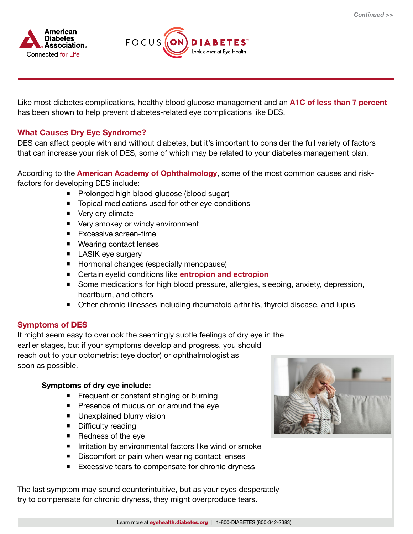



Like most diabetes complications, healthy blood glucose management and an **[A1C of less than 7 percent](https://www.diabetes.org/diabetes/a1c)** has been shown to help prevent diabetes-related eye complications like DES.

## What Causes Dry Eye Syndrome?

DES can affect people with and without diabetes, but it's important to consider the full variety of factors that can increase your risk of DES, some of which may be related to your diabetes management plan.

According to the **[American Academy of Ophthalmology](https://www.aao.org/eye-health/diseases/what-is-dry-eye)**, some of the most common causes and riskfactors for developing DES include:

- **Prolonged high blood glucose (blood sugar)**
- Topical medications used for other eye conditions
- Very dry climate
- Very smokey or windy environment
- **Excessive screen-time**
- Wearing contact lenses
- **LASIK** eye surgery
- **Hormonal changes (especially menopause)**
- **E** Certain eyelid conditions like **[entropion and ectropion](https://www.merckmanuals.com/home/eye-disorders/eyelid-and-tearing-disorders/entropion-and-ectropion)**
- Some medications for high blood pressure, allergies, sleeping, anxiety, depression, heartburn, and others
- Other chronic illnesses including rheumatoid arthritis, thyroid disease, and lupus

#### Symptoms of DES

 It might seem easy to overlook the seemingly subtle feelings of dry eye in the earlier stages, but if your symptoms develop and progress, you should reach out to your optometrist (eye doctor) or ophthalmologist as soon as possible.

#### Symptoms of dry eye include:

- **Figure 1** Frequent or constant stinging or burning
- **Presence of mucus on or around the eye**
- **Unexplained blurry vision**
- **Difficulty reading**
- $\blacksquare$  Redness of the eye
- **IFF** Irritation by environmental factors like wind or smoke
- Discomfort or pain when wearing contact lenses
- Excessive tears to compensate for chronic dryness

The last symptom may sound counterintuitive, but as your eyes desperately try to compensate for chronic dryness, they might overproduce tears.